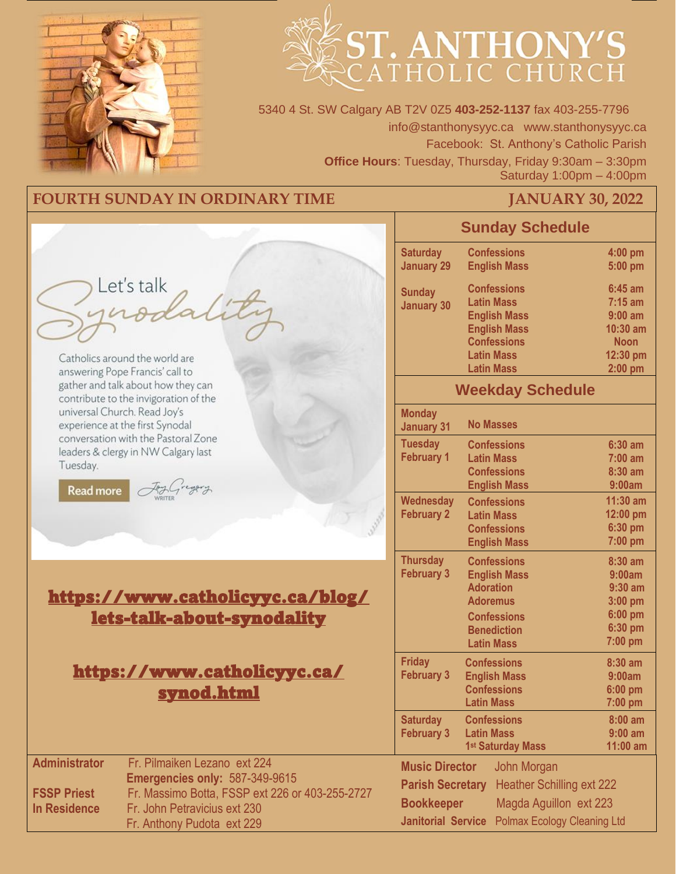

# ST. ANTHONY'S

5340 4 St. SW Calgary AB T2V 0Z5 **403-252-1137** fax 403-255-7796 info@stanthonysyyc.ca www.stanthonysyyc.ca Facebook: St. Anthony's Catholic Parish **Office Hours**: Tuesday, Thursday, Friday 9:30am – 3:30pm Saturday 1:00pm – 4:00pm

# **FOURTH SUNDAY IN ORDINARY TIME FOURTH SUNDAY IN ORDINARY TIME FOURTH SUNDAY 30, 2022**

|                                            |                                                                                                                          | <b>Sunday Schedule</b>                                                |                                                                                                                                                       |                                                                                                   |
|--------------------------------------------|--------------------------------------------------------------------------------------------------------------------------|-----------------------------------------------------------------------|-------------------------------------------------------------------------------------------------------------------------------------------------------|---------------------------------------------------------------------------------------------------|
|                                            |                                                                                                                          | <b>Saturday</b><br><b>January 29</b>                                  | <b>Confessions</b><br><b>English Mass</b>                                                                                                             | 4:00 pm<br>5:00 pm                                                                                |
|                                            | Let's talk<br>116<br>Catholics around the world are                                                                      | <b>Sunday</b><br><b>January 30</b>                                    | <b>Confessions</b><br><b>Latin Mass</b><br><b>English Mass</b><br><b>English Mass</b><br><b>Confessions</b><br><b>Latin Mass</b><br><b>Latin Mass</b> | $6:45$ am<br>$7:15 \text{ am}$<br>$9:00$ am<br>$10:30$ am<br><b>Noon</b><br>12:30 pm<br>$2:00$ pm |
|                                            | answering Pope Francis' call to<br>gather and talk about how they can<br>contribute to the invigoration of the           |                                                                       | <b>Weekday Schedule</b>                                                                                                                               |                                                                                                   |
|                                            | universal Church. Read Joy's<br>experience at the first Synodal                                                          | <b>Monday</b><br><b>January 31</b>                                    | <b>No Masses</b>                                                                                                                                      |                                                                                                   |
| Tuesday.<br><b>Read more</b>               | conversation with the Pastoral Zone<br>leaders & clergy in NW Calgary last                                               | <b>Tuesday</b><br><b>February 1</b>                                   | <b>Confessions</b><br><b>Latin Mass</b><br><b>Confessions</b><br><b>English Mass</b>                                                                  | $6:30$ am<br>$7:00$ am<br>8:30 am<br>9:00am                                                       |
|                                            |                                                                                                                          | <b>Wednesday</b><br><b>February 2</b>                                 | <b>Confessions</b><br><b>Latin Mass</b><br><b>Confessions</b><br><b>English Mass</b>                                                                  | $11:30$ am<br>12:00 pm<br>6:30 pm<br>7:00 pm                                                      |
|                                            | https://www.catholicyyc.ca/blog/<br><u>lets-talk-about-synodality</u>                                                    | <b>Thursday</b><br><b>February 3</b>                                  | <b>Confessions</b><br><b>English Mass</b><br><b>Adoration</b><br><b>Adoremus</b><br><b>Confessions</b><br><b>Benediction</b><br><b>Latin Mass</b>     | 8:30 am<br>9:00am<br>$9:30$ am<br>3:00 pm<br>6:00 pm<br>6:30 pm<br>7:00 pm                        |
|                                            | <u> https://www.catholicyyc.ca/</u><br><u>synod.html</u>                                                                 | <b>Friday</b><br><b>February 3</b>                                    | <b>Confessions</b><br><b>English Mass</b><br><b>Confessions</b><br><b>Latin Mass</b>                                                                  | $8:30$ am<br>9:00am<br>6:00 pm<br>7:00 pm                                                         |
|                                            |                                                                                                                          | <b>Saturday</b><br><b>February 3</b>                                  | <b>Confessions</b><br><b>Latin Mass</b><br>1st Saturday Mass                                                                                          | $8:00 \text{ am}$<br>$9:00$ am<br>11:00 am                                                        |
| <b>Administrator</b><br><b>FSSP Priest</b> | Fr. Pilmaiken Lezano ext 224<br><b>Emergencies only: 587-349-9615</b><br>Fr. Massimo Botta, FSSP ext 226 or 403-255-2727 | <b>Music Director</b><br><b>Parish Secretary</b><br><b>Bookkeeper</b> | John Morgan<br><b>Heather Schilling ext 222</b><br>Magda Aguillon ext 223                                                                             |                                                                                                   |
| <b>In Residence</b>                        | Fr. John Petravicius ext 230<br>Fr. Anthony Pudota ext 229                                                               |                                                                       | Janitorial Service Polmax Ecology Cleaning Ltd                                                                                                        |                                                                                                   |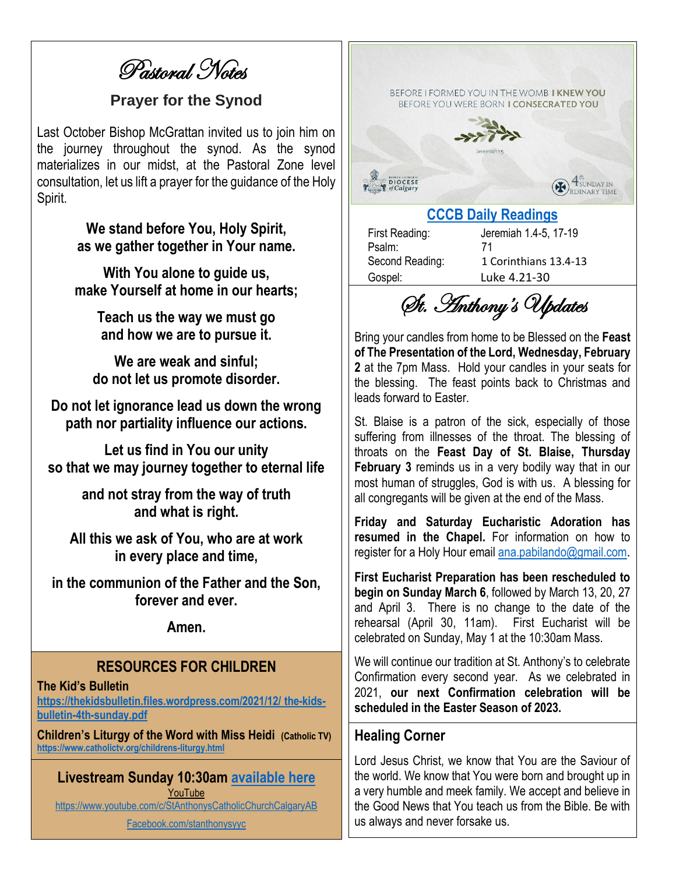Pastoral Notes

#### **Prayer for the Synod**

Last October Bishop McGrattan invited us to join him on the journey throughout the synod. As the synod materializes in our midst, at the Pastoral Zone level consultation, let us lift a prayer for the guidance of the Holy Spirit.

> **We stand before You, Holy Spirit, as we gather together in Your name.**

**With You alone to guide us, make Yourself at home in our hearts;**

> **Teach us the way we must go and how we are to pursue it.**

**We are weak and sinful; do not let us promote disorder.**

**Do not let ignorance lead us down the wrong path nor partiality influence our actions.**

**Let us find in You our unity so that we may journey together to eternal life**

> **and not stray from the way of truth and what is right.**

**All this we ask of You, who are at work in every place and time,**

**in the communion of the Father and the Son, forever and ever.** 

**Amen.**

#### **RESOURCES FOR CHILDREN**

**The Kid's Bulletin**

**[https://thekidsbulletin.files.wordpress.com/2021/12/](https://thekidsbulletin.files.wordpress.com/2021/12/%20the-kids-bulletin-4th-sunday.pdf) the-kids[bulletin-4th-sunday.pdf](https://thekidsbulletin.files.wordpress.com/2021/12/%20the-kids-bulletin-4th-sunday.pdf)**

**Children's Liturgy of the Word with Miss Heidi (Catholic TV) <https://www.catholictv.org/childrens-liturgy.html>**

**Livestream Sunday 10:30am [available here](https://www.youtube.com/c/StAnthonysCatholicChurchCalgaryAB)** YouTube <https://www.youtube.com/c/StAnthonysCatholicChurchCalgaryAB>

[Facebook.com/stanthonysyyc](https://www.facebook.com/stanthonysyyc/)



Psalm: 71

First Reading: Jeremiah 1.4-5, 17-19 Second Reading: 1 Corinthians 13.4-13 Gospel: Luke 4.21-30

St. Anthony's Updates

Bring your candles from home to be Blessed on the **Feast of The Presentation of the Lord, Wednesday, February 2** at the 7pm Mass. Hold your candles in your seats for the blessing. The feast points back to Christmas and leads forward to Easter.

St. Blaise is a patron of the sick, especially of those suffering from illnesses of the throat. The blessing of throats on the **Feast Day of St. Blaise, Thursday February 3** reminds us in a very bodily way that in our most human of struggles, God is with us. A blessing for all congregants will be given at the end of the Mass.

**Friday and Saturday Eucharistic Adoration has resumed in the Chapel.** For information on how to register for a Holy Hour email [ana.pabilando@gmail.com](mailto:ana.pabilando@gmail.com).

**First Eucharist Preparation has been rescheduled to begin on Sunday March 6**, followed by March 13, 20, 27 and April 3. There is no change to the date of the rehearsal (April 30, 11am). First Eucharist will be celebrated on Sunday, May 1 at the 10:30am Mass.

We will continue our tradition at St. Anthony's to celebrate Confirmation every second year. As we celebrated in 2021, **our next Confirmation celebration will be scheduled in the Easter Season of 2023.**

#### **Healing Corner**

Lord Jesus Christ, we know that You are the Saviour of the world. We know that You were born and brought up in a very humble and meek family. We accept and believe in the Good News that You teach us from the Bible. Be with us always and never forsake us.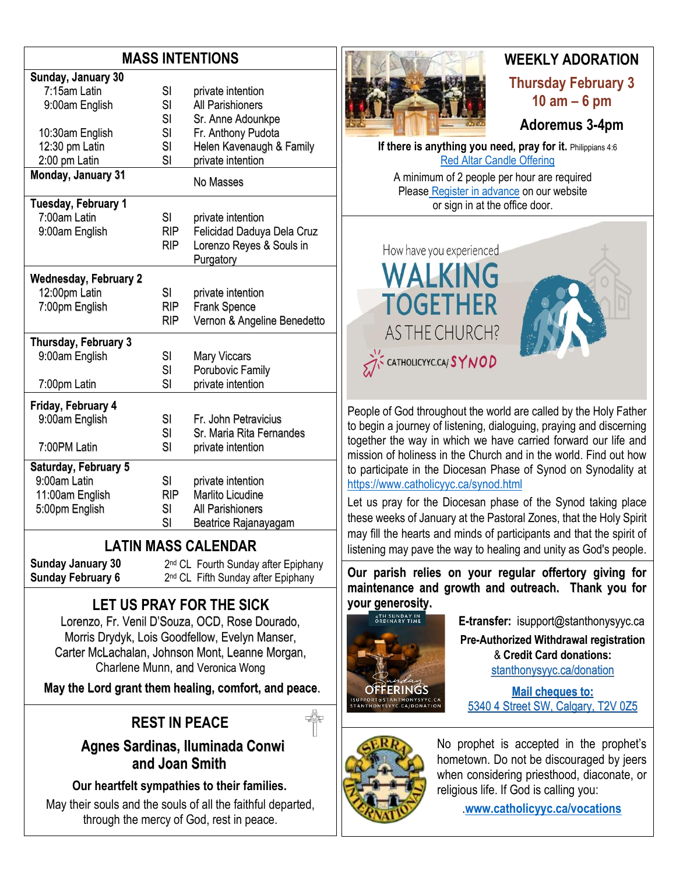# **MASS INTENTIONS**

| Sunday, January 30           |            |                             |  |  |  |
|------------------------------|------------|-----------------------------|--|--|--|
| 7:15am Latin                 | SI         | private intention           |  |  |  |
| 9:00am English               | SI         | <b>All Parishioners</b>     |  |  |  |
|                              | SI         | Sr. Anne Adounkpe           |  |  |  |
| 10:30am English              | SI         | Fr. Anthony Pudota          |  |  |  |
| 12:30 pm Latin               | SI         | Helen Kavenaugh & Family    |  |  |  |
| 2:00 pm Latin                | SI         | private intention           |  |  |  |
| Monday, January 31           |            | No Masses                   |  |  |  |
| Tuesday, February 1          |            |                             |  |  |  |
| 7:00am Latin                 | SI         | private intention           |  |  |  |
| 9:00am English               | RIP        | Felicidad Daduya Dela Cruz  |  |  |  |
|                              | <b>RIP</b> | Lorenzo Reyes & Souls in    |  |  |  |
|                              |            | Purgatory                   |  |  |  |
| <b>Wednesday, February 2</b> |            |                             |  |  |  |
| 12:00pm Latin                | SI         | private intention           |  |  |  |
| 7:00pm English               | <b>RIP</b> | <b>Frank Spence</b>         |  |  |  |
|                              | <b>RIP</b> | Vernon & Angeline Benedetto |  |  |  |
| Thursday, February 3         |            |                             |  |  |  |
| 9:00am English               | SI         | <b>Mary Viccars</b>         |  |  |  |
|                              | SI         | Porubovic Family            |  |  |  |
| 7:00pm Latin                 | SI         | private intention           |  |  |  |
|                              |            |                             |  |  |  |
| Friday, February 4           |            |                             |  |  |  |
| 9:00am English               | SI         | Fr. John Petravicius        |  |  |  |
|                              | SI         | Sr. Maria Rita Fernandes    |  |  |  |
| 7:00PM Latin                 | SI         | private intention           |  |  |  |
| Saturday, February 5         |            |                             |  |  |  |
| 9:00am Latin                 | SI         | private intention           |  |  |  |
| 11:00am English              | <b>RIP</b> | Marlito Licudine            |  |  |  |
| 5:00pm English               | SI         | <b>All Parishioners</b>     |  |  |  |
|                              | SI         | Beatrice Rajanayagam        |  |  |  |
|                              |            |                             |  |  |  |

# **LATIN MASS CALENDAR**

2<sup>nd</sup> CL Fourth Sunday after Epiphany 2<sup>nd</sup> CL Fifth Sunday after Epiphany

**Sunday January 30 Sunday February 6**

# **LET US PRAY FOR THE SICK**

Lorenzo, Fr. Venil D'Souza, OCD, Rose Dourado, Morris Drydyk, Lois Goodfellow, Evelyn Manser, Carter McLachalan, Johnson Mont, Leanne Morgan, Charlene Munn, and Veronica Wong

**May the Lord grant them healing, comfort, and peace**.

# **REST IN PEACE**

 **Agnes Sardinas, Iluminada Conwi and Joan Smith**

**Our heartfelt sympathies to their families.**

May their souls and the souls of all the faithful departed, through the mercy of God, rest in peace.



# **WEEKLY ADORATION Thursday February 3 10 am – 6 pm**

# **Adoremus 3-4pm**

**If there is anything you need, pray for it.** Philippians 4:6 [Red Altar Candle Offering](https://stanthonysyyc.ca/wp-content/uploads/2020/10/RED-ALTAR-CANDLE-OFFERING.pdf)

A minimum of 2 people per hour are required Please Register [in advance](https://volunteersignup.org/EXBPK) on our website or sign in at the office door.



People of God throughout the world are called by the Holy Father to begin a journey of listening, dialoguing, praying and discerning together the way in which we have carried forward our life and mission of holiness in the Church and in the world. Find out how to participate in the Diocesan Phase of Synod on Synodality at <https://www.catholicyyc.ca/synod.html>

Let us pray for the Diocesan phase of the Synod taking place these weeks of January at the Pastoral Zones, that the Holy Spirit may fill the hearts and minds of participants and that the spirit of listening may pave the way to healing and unity as God's people.

**Our parish relies on your regular offertory giving for maintenance and growth and outreach. Thank you for your generosity.** 



**E-transfer:** isupport@stanthonysyyc.ca **Pre-Authorized Withdrawal registration**  & **Credit Card donations:** [stanthonysyyc.ca/donation](https://stanthonysyyc.ca/donation/)

**Mail cheques to:** 5340 4 Street SW, Calgary, T2V 0Z5



No prophet is accepted in the prophet's hometown. Do not be discouraged by jeers when considering priesthood, diaconate, or religious life. If God is calling you:

.**[www.catholicyyc.ca/vocations](http://www.catholicyyc.ca/vocations)**